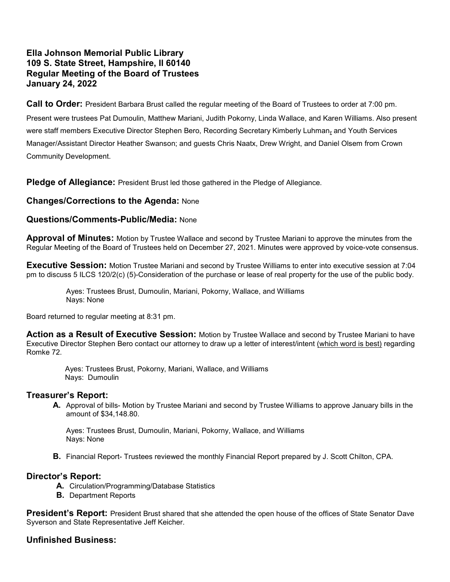# Ella Johnson Memorial Public Library 109 S. State Street, Hampshire, Il 60140 Regular Meeting of the Board of Trustees January 24, 2022

**Call to Order:** President Barbara Brust called the regular meeting of the Board of Trustees to order at 7:00 pm. Present were trustees Pat Dumoulin, Matthew Mariani, Judith Pokorny, Linda Wallace, and Karen Williams. Also present were staff members Executive Director Stephen Bero, Recording Secretary Kimberly Luhman, and Youth Services Manager/Assistant Director Heather Swanson; and guests Chris Naatx, Drew Wright, and Daniel Olsem from Crown Community Development.

**Pledge of Allegiance:** President Brust led those gathered in the Pledge of Allegiance.

# Changes/Corrections to the Agenda: None

### Questions/Comments-Public/Media: None

**Approval of Minutes:** Motion by Trustee Wallace and second by Trustee Mariani to approve the minutes from the Regular Meeting of the Board of Trustees held on December 27, 2021. Minutes were approved by voice-vote consensus.

**Executive Session:** Motion Trustee Mariani and second by Trustee Williams to enter into executive session at 7:04 pm to discuss 5 ILCS 120/2(c) (5)-Consideration of the purchase or lease of real property for the use of the public body.

> Ayes: Trustees Brust, Dumoulin, Mariani, Pokorny, Wallace, and Williams Nays: None

Board returned to regular meeting at 8:31 pm.

**Action as a Result of Executive Session:** Motion by Trustee Wallace and second by Trustee Mariani to have Executive Director Stephen Bero contact our attorney to draw up a letter of interest/intent (which word is best) regarding Romke 72.

 Ayes: Trustees Brust, Pokorny, Mariani, Wallace, and Williams Nays: Dumoulin

#### Treasurer's Report:

A. Approval of bills- Motion by Trustee Mariani and second by Trustee Williams to approve January bills in the amount of \$34,148.80.

Ayes: Trustees Brust, Dumoulin, Mariani, Pokorny, Wallace, and Williams Nays: None

**B.** Financial Report- Trustees reviewed the monthly Financial Report prepared by J. Scott Chilton, CPA.

# Director's Report:

- A. Circulation/Programming/Database Statistics
- B. Department Reports

President's Report: President Brust shared that she attended the open house of the offices of State Senator Dave Syverson and State Representative Jeff Keicher.

# Unfinished Business: